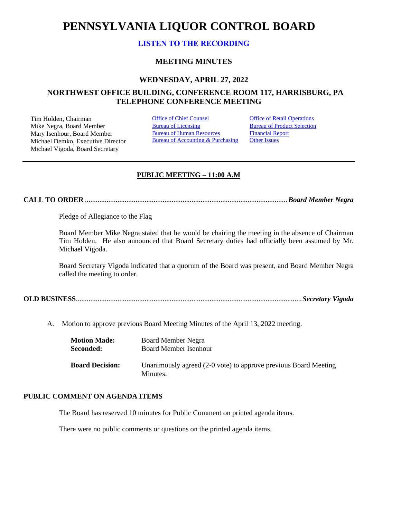# **PENNSYLVANIA LIQUOR CONTROL BOARD**

# **[LISTEN TO THE RECORDING](https://youtu.be/TySGVdXTLyw)**

# **MEETING MINUTES**

## **WEDNESDAY, APRIL 27, 2022**

# **NORTHWEST OFFICE BUILDING, CONFERENCE ROOM 117, HARRISBURG, PA TELEPHONE CONFERENCE MEETING**

Tim Holden, Chairman **[Office of Chief Counsel](#page-1-0)** Office [of Retail Operations](#page-10-0)<br>
Mike Negra. Board Member **Bureau of Licensing** Bureau of Product Selection Mike Negra, Board Member Mary Isenhour, Board Member Michael Demko, Executive Director Michael Vigoda, Board Secretary

[Bureau of Human Resources](#page-8-0) Bureau of Accounting & Purchasing [Financial Report](#page-8-1) **[Other Issues](#page-12-0)** 

# **PUBLIC MEETING – 11:00 A.M**

**CALL TO ORDER** ................................................................................................................*Board Member Negra*

Pledge of Allegiance to the Flag

Board Member Mike Negra stated that he would be chairing the meeting in the absence of Chairman Tim Holden. He also announced that Board Secretary duties had officially been assumed by Mr. Michael Vigoda.

Board Secretary Vigoda indicated that a quorum of the Board was present, and Board Member Negra called the meeting to order.

|--|--|--|

A. Motion to approve previous Board Meeting Minutes of the April 13, 2022 meeting.

| <b>Motion Made:</b>    | Board Member Negra                                              |  |
|------------------------|-----------------------------------------------------------------|--|
| Seconded:              | Board Member Isenhour                                           |  |
|                        |                                                                 |  |
| <b>Board Decision:</b> | Unanimously agreed (2-0 vote) to approve previous Board Meeting |  |
|                        | Minutes.                                                        |  |
|                        |                                                                 |  |

# **PUBLIC COMMENT ON AGENDA ITEMS**

The Board has reserved 10 minutes for Public Comment on printed agenda items.

There were no public comments or questions on the printed agenda items.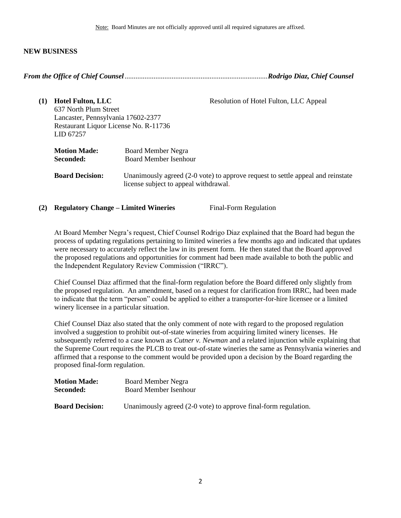# **NEW BUSINESS**

<span id="page-1-0"></span>

| (1) | <b>Hotel Fulton, LLC</b><br>637 North Plum Street<br>Lancaster, Pennsylvania 17602-2377<br>Restaurant Liquor License No. R-11736<br>LID 67257 | Resolution of Hotel Fulton, LLC Appeal                                                                                   |
|-----|-----------------------------------------------------------------------------------------------------------------------------------------------|--------------------------------------------------------------------------------------------------------------------------|
|     | <b>Motion Made:</b><br>Seconded:                                                                                                              | <b>Board Member Negra</b><br><b>Board Member Isenhour</b>                                                                |
|     | <b>Board Decision:</b>                                                                                                                        | Unanimously agreed (2-0 vote) to approve request to settle appeal and reinstate<br>license subject to appeal withdrawal. |

**(2) Regulatory Change – Limited Wineries** Final-Form Regulation

At Board Member Negra's request, Chief Counsel Rodrigo Diaz explained that the Board had begun the process of updating regulations pertaining to limited wineries a few months ago and indicated that updates were necessary to accurately reflect the law in its present form. He then stated that the Board approved the proposed regulations and opportunities for comment had been made available to both the public and the Independent Regulatory Review Commission ("IRRC").

Chief Counsel Diaz affirmed that the final-form regulation before the Board differed only slightly from the proposed regulation. An amendment, based on a request for clarification from IRRC, had been made to indicate that the term "person" could be applied to either a transporter-for-hire licensee or a limited winery licensee in a particular situation.

Chief Counsel Diaz also stated that the only comment of note with regard to the proposed regulation involved a suggestion to prohibit out-of-state wineries from acquiring limited winery licenses. He subsequently referred to a case known as *Cutner v. Newman* and a related injunction while explaining that the Supreme Court requires the PLCB to treat out-of-state wineries the same as Pennsylvania wineries and affirmed that a response to the comment would be provided upon a decision by the Board regarding the proposed final-form regulation.

| <b>Motion Made:</b>    | <b>Board Member Negra</b>                                       |  |
|------------------------|-----------------------------------------------------------------|--|
| Seconded:              | Board Member Isenhour                                           |  |
| <b>Board Decision:</b> | Unanimously agreed (2-0 vote) to approve final-form regulation. |  |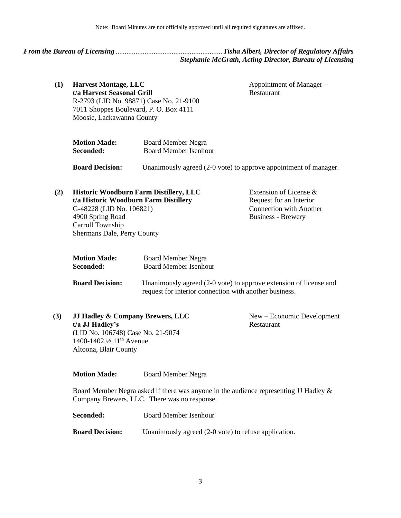<span id="page-2-0"></span>

*From the Bureau of Licensing* ...........................................................*Tisha Albert, Director of Regulatory Affairs Stephanie McGrath, Acting Director, Bureau of Licensing*

**(1) Harvest Montage, LLC t/a Harvest Seasonal Grill** R-2793 (LID No. 98871) Case No. 21-9100 7011 Shoppes Boulevard, P. O. Box 4111 Moosic, Lackawanna County Appointment of Manager – Restaurant

| <b>Motion Made:</b> | <b>Board Member Negra</b> |
|---------------------|---------------------------|
| Seconded:           | Board Member Isenhour     |

**Board Decision:** Unanimously agreed (2-0 vote) to approve appointment of manager.

| (2) | <b>Historic Woodburn Farm Distillery, LLC</b> | Extension of License $\&$      |
|-----|-----------------------------------------------|--------------------------------|
|     | t/a Historic Woodburn Farm Distillery         | Request for an Interior        |
|     | G-48228 (LID No. 106821)                      | <b>Connection with Another</b> |
|     | 4900 Spring Road                              | <b>Business - Brewery</b>      |
|     | Carroll Township                              |                                |
|     | Shermans Dale, Perry County                   |                                |

| <b>Motion Made:</b>    | <b>Board Member Negra</b>                                                                                                   |
|------------------------|-----------------------------------------------------------------------------------------------------------------------------|
| Seconded:              | <b>Board Member Isenhour</b>                                                                                                |
| <b>Board Decision:</b> | Unanimously agreed (2-0 vote) to approve extension of license and<br>request for interior connection with another business. |

| (3) | <b>JJ Hadley &amp; Company Brewers, LLC</b>     | $New - Economic Development$ |
|-----|-------------------------------------------------|------------------------------|
|     | $t/a$ JJ Hadley's                               | Restaurant                   |
|     | (LID No. 106748) Case No. 21-9074               |                              |
|     | 1400-1402 $\frac{1}{2}$ 11 <sup>th</sup> Avenue |                              |
|     | Altoona, Blair County                           |                              |

**Motion Made:** Board Member Negra

Board Member Negra asked if there was anyone in the audience representing JJ Hadley & Company Brewers, LLC. There was no response.

| Seconded:              | Board Member Isenhour                                |
|------------------------|------------------------------------------------------|
| <b>Board Decision:</b> | Unanimously agreed (2-0 vote) to refuse application. |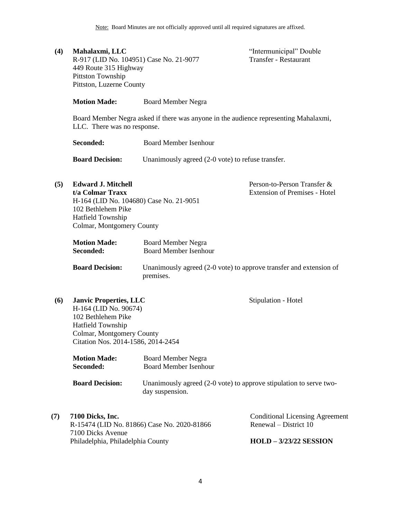**(4) Mahalaxmi, LLC** R-917 (LID No. 104951) Case No. 21-9077 449 Route 315 Highway Pittston Township Pittston, Luzerne County

"Intermunicipal" Double Transfer - Restaurant

Person-to-Person Transfer & Extension of Premises - Hotel

Stipulation - Hotel

**Motion Made:** Board Member Negra

Board Member Negra asked if there was anyone in the audience representing Mahalaxmi, LLC. There was no response.

**Seconded:** Board Member Isenhour

**Board Decision:** Unanimously agreed (2-0 vote) to refuse transfer.

**(5) Edward J. Mitchell**

**t/a Colmar Traxx** H-164 (LID No. 104680) Case No. 21-9051 102 Bethlehem Pike Hatfield Township Colmar, Montgomery County

| <b>Motion Made:</b> | <b>Board Member Negra</b>    |
|---------------------|------------------------------|
| <b>Seconded:</b>    | <b>Board Member Isenhour</b> |

**Board Decision:** Unanimously agreed (2-0 vote) to approve transfer and extension of premises.

**(6) Janvic Properties, LLC** H-164 (LID No. 90674) 102 Bethlehem Pike Hatfield Township Colmar, Montgomery County

Citation Nos. 2014-1586, 2014-2454

| <b>Motion Made:</b>    | <b>Board Member Negra</b>                                                             |
|------------------------|---------------------------------------------------------------------------------------|
| Seconded:              | <b>Board Member Isenhour</b>                                                          |
| <b>Board Decision:</b> | Unanimously agreed (2-0 vote) to approve stipulation to serve two-<br>day suspension. |

**(7) 7100 Dicks, Inc.**

| <b>7100 Dicks, Inc.</b>                     | <b>Conditional Licensing Agreement</b> |
|---------------------------------------------|----------------------------------------|
| R-15474 (LID No. 81866) Case No. 2020-81866 | Renewal – District 10                  |
| 7100 Dicks Avenue                           |                                        |
| Philadelphia, Philadelphia County           | $HOLD - 3/23/22$ SESSION               |
|                                             |                                        |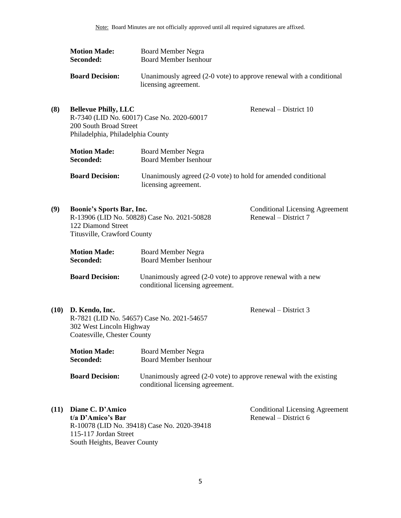| <b>Motion Made:</b>    | <b>Board Member Negra</b>                                                                   |
|------------------------|---------------------------------------------------------------------------------------------|
| Seconded:              | <b>Board Member Isenhour</b>                                                                |
| <b>Board Decision:</b> | Unanimously agreed (2-0 vote) to approve renewal with a conditional<br>licensing agreement. |

| (8)  | <b>Bellevue Philly, LLC</b><br>200 South Broad Street<br>Philadelphia, Philadelphia County | R-7340 (LID No. 60017) Case No. 2020-60017                                                        | Renewal – District 10                                          |
|------|--------------------------------------------------------------------------------------------|---------------------------------------------------------------------------------------------------|----------------------------------------------------------------|
|      | <b>Motion Made:</b><br>Seconded:                                                           | <b>Board Member Negra</b><br><b>Board Member Isenhour</b>                                         |                                                                |
|      | <b>Board Decision:</b>                                                                     | Unanimously agreed (2-0 vote) to hold for amended conditional<br>licensing agreement.             |                                                                |
| (9)  | <b>Boonie's Sports Bar, Inc.</b><br>122 Diamond Street<br>Titusville, Crawford County      | R-13906 (LID No. 50828) Case No. 2021-50828                                                       | <b>Conditional Licensing Agreement</b><br>Renewal – District 7 |
|      | <b>Motion Made:</b><br>Seconded:                                                           | <b>Board Member Negra</b><br><b>Board Member Isenhour</b>                                         |                                                                |
|      | <b>Board Decision:</b>                                                                     | Unanimously agreed $(2-0$ vote) to approve renewal with a new<br>conditional licensing agreement. |                                                                |
| (10) | D. Kendo, Inc.                                                                             |                                                                                                   | Renewal – District 3                                           |

**(10) D. Kendo, Inc.** R-7821 (LID No. 54657) Case No. 2021-54657 302 West Lincoln Highway Coatesville, Chester County

> **Motion Made:** Board Member Negra **Seconded:** Board Member Isenhour **Board Decision:** Unanimously agreed (2-0 vote) to approve renewal with the existing conditional licensing agreement.

**(11) Diane C. D'Amico t/a D'Amico's Bar** R-10078 (LID No. 39418) Case No. 2020-39418 115-117 Jordan Street

South Heights, Beaver County

Conditional Licensing Agreement Renewal – District 6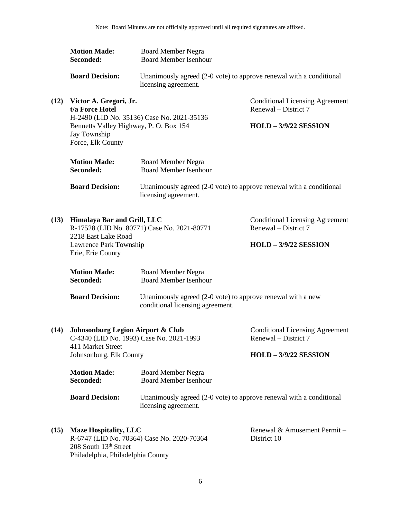|      | <b>Motion Made:</b><br>Seconded:                                                         | <b>Board Member Negra</b><br><b>Board Member Isenhour</b>                                       |                                                                |
|------|------------------------------------------------------------------------------------------|-------------------------------------------------------------------------------------------------|----------------------------------------------------------------|
|      | <b>Board Decision:</b>                                                                   | Unanimously agreed (2-0 vote) to approve renewal with a conditional<br>licensing agreement.     |                                                                |
| (12) | Victor A. Gregori, Jr.<br>t/a Force Hotel                                                | H-2490 (LID No. 35136) Case No. 2021-35136                                                      | <b>Conditional Licensing Agreement</b><br>Renewal – District 7 |
|      | Bennetts Valley Highway, P. O. Box 154<br>Jay Township<br>Force, Elk County              |                                                                                                 | $HOLD - 3/9/22$ SESSION                                        |
|      | <b>Motion Made:</b><br>Seconded:                                                         | <b>Board Member Negra</b><br><b>Board Member Isenhour</b>                                       |                                                                |
|      | <b>Board Decision:</b>                                                                   | Unanimously agreed (2-0 vote) to approve renewal with a conditional<br>licensing agreement.     |                                                                |
| (13) | Himalaya Bar and Grill, LLC<br>R-17528 (LID No. 80771) Case No. 2021-80771               |                                                                                                 | <b>Conditional Licensing Agreement</b><br>Renewal – District 7 |
|      | 2218 East Lake Road<br>Lawrence Park Township<br>Erie, Erie County                       |                                                                                                 | $HOLD - 3/9/22$ SESSION                                        |
|      | <b>Motion Made:</b><br>Seconded:                                                         | <b>Board Member Negra</b><br><b>Board Member Isenhour</b>                                       |                                                                |
|      | <b>Board Decision:</b>                                                                   | Unanimously agreed (2-0 vote) to approve renewal with a new<br>conditional licensing agreement. |                                                                |
| (14) | <b>Johnsonburg Legion Airport &amp; Club</b><br>C-4340 (LID No. 1993) Case No. 2021-1993 |                                                                                                 | <b>Conditional Licensing Agreement</b><br>Renewal – District 7 |
|      | 411 Market Street<br>Johnsonburg, Elk County                                             |                                                                                                 | $HOLD - 3/9/22$ SESSION                                        |
|      | <b>Motion Made:</b><br>Seconded:                                                         | <b>Board Member Negra</b><br><b>Board Member Isenhour</b>                                       |                                                                |
|      | <b>Board Decision:</b>                                                                   | Unanimously agreed (2-0 vote) to approve renewal with a conditional<br>licensing agreement.     |                                                                |
| (15) | <b>Maze Hospitality, LLC</b><br>208 South 13th Street                                    | R-6747 (LID No. 70364) Case No. 2020-70364                                                      | Renewal & Amusement Permit -<br>District 10                    |

Philadelphia, Philadelphia County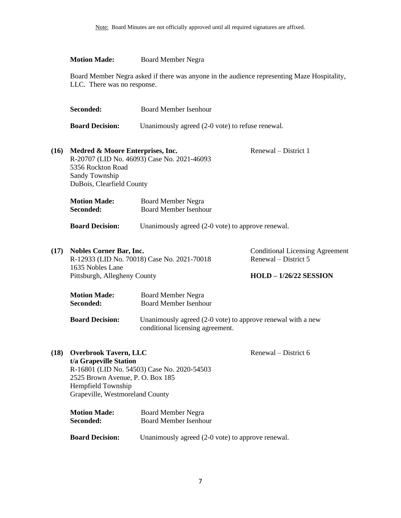|      | <b>Motion Made:</b>                                                                                                                                 | <b>Board Member Negra</b>                                                                       |                                                                                            |
|------|-----------------------------------------------------------------------------------------------------------------------------------------------------|-------------------------------------------------------------------------------------------------|--------------------------------------------------------------------------------------------|
|      | LLC. There was no response.                                                                                                                         | Board Member Negra asked if there was anyone in the audience representing Maze Hospitality,     |                                                                                            |
|      | Seconded:                                                                                                                                           | <b>Board Member Isenhour</b>                                                                    |                                                                                            |
|      | <b>Board Decision:</b>                                                                                                                              | Unanimously agreed (2-0 vote) to refuse renewal.                                                |                                                                                            |
| (16) | Medred & Moore Enterprises, Inc.<br>5356 Rockton Road<br>Sandy Township<br>DuBois, Clearfield County                                                | R-20707 (LID No. 46093) Case No. 2021-46093                                                     | Renewal – District 1                                                                       |
|      | <b>Motion Made:</b><br>Seconded:                                                                                                                    | <b>Board Member Negra</b><br><b>Board Member Isenhour</b>                                       |                                                                                            |
|      | <b>Board Decision:</b>                                                                                                                              | Unanimously agreed (2-0 vote) to approve renewal.                                               |                                                                                            |
| (17) | <b>Nobles Corner Bar, Inc.</b><br>1635 Nobles Lane<br>Pittsburgh, Allegheny County                                                                  | R-12933 (LID No. 70018) Case No. 2021-70018                                                     | <b>Conditional Licensing Agreement</b><br>Renewal – District 5<br>$HOLD - 1/26/22$ SESSION |
|      | <b>Motion Made:</b><br>Seconded:                                                                                                                    | <b>Board Member Negra</b><br><b>Board Member Isenhour</b>                                       |                                                                                            |
|      | <b>Board Decision:</b>                                                                                                                              | Unanimously agreed (2-0 vote) to approve renewal with a new<br>conditional licensing agreement. |                                                                                            |
| (18) | <b>Overbrook Tavern, LLC</b><br>t/a Grapeville Station<br>2525 Brown Avenue, P. O. Box 185<br>Hempfield Township<br>Grapeville, Westmoreland County | R-16801 (LID No. 54503) Case No. 2020-54503                                                     | Renewal – District 6                                                                       |
|      | <b>Motion Made:</b><br>Seconded:                                                                                                                    | <b>Board Member Negra</b><br><b>Board Member Isenhour</b>                                       |                                                                                            |

**Board Decision:** Unanimously agreed (2-0 vote) to approve renewal.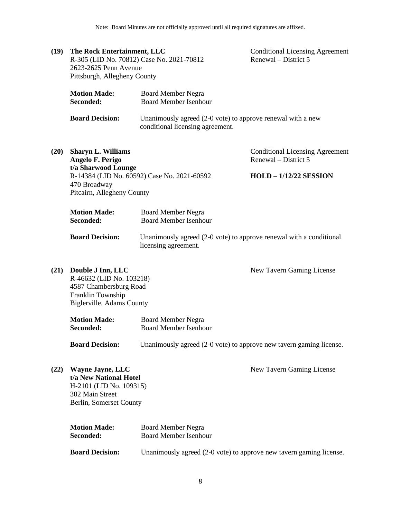**(19) The Rock Entertainment, LLC** R-305 (LID No. 70812) Case No. 2021-70812 2623-2625 Penn Avenue Pittsburgh, Allegheny County

Conditional Licensing Agreement Renewal – District 5

| <b>Motion Made:</b>    | Board Member Negra                                                                                 |
|------------------------|----------------------------------------------------------------------------------------------------|
| Seconded:              | <b>Board Member Isenhour</b>                                                                       |
| <b>Board Decision:</b> | Unanimously agreed $(2-0)$ vote) to approve renewal with a new<br>conditional licensing agreement. |

**(20) Sharyn L. Williams Angelo F. Perigo t/a Sharwood Lounge** R-14384 (LID No. 60592) Case No. 2021-60592 470 Broadway Pitcairn, Allegheny County

Conditional Licensing Agreement Renewal – District 5

# **HOLD – 1/12/22 SESSION**

| <b>Motion Made:</b> | <b>Board Member Negra</b> |
|---------------------|---------------------------|
| <b>Seconded:</b>    | Board Member Isenhour     |

**Board Decision:** Unanimously agreed (2-0 vote) to approve renewal with a conditional licensing agreement.

New Tavern Gaming License

**(21) Double J Inn, LLC** R-46632 (LID No. 103218) 4587 Chambersburg Road Franklin Township Biglerville, Adams County

| <b>Motion Made:</b> | <b>Board Member Negra</b> |
|---------------------|---------------------------|
| Seconded:           | Board Member Isenhour     |

**Board Decision:** Unanimously agreed (2-0 vote) to approve new tavern gaming license.

New Tavern Gaming License

**(22) Wayne Jayne, LLC t/a New National Hotel** H-2101 (LID No. 109315) 302 Main Street Berlin, Somerset County

| <b>Motion Made:</b>    | Board Member Negra                                                  |  |
|------------------------|---------------------------------------------------------------------|--|
| Seconded:              | Board Member Isenhour                                               |  |
|                        |                                                                     |  |
| <b>Board Decision:</b> | Unanimously agreed (2-0 vote) to approve new tavern gaming license. |  |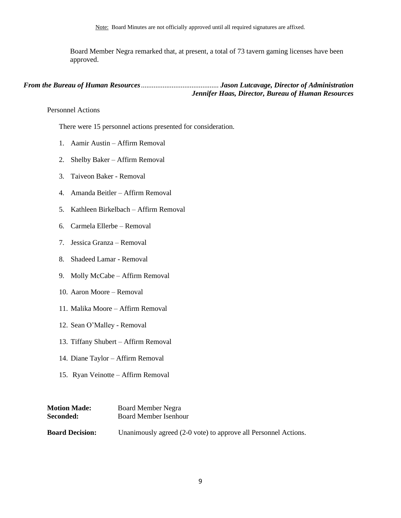Board Member Negra remarked that, at present, a total of 73 tavern gaming licenses have been approved.

# *From the Bureau of Human Resources*........................................... *Jason Lutcavage, Director of Administration Jennifer Haas, Director, Bureau of Human Resources*

<span id="page-8-0"></span>Personnel Actions

There were 15 personnel actions presented for consideration.

- 1. Aamir Austin Affirm Removal
- 2. Shelby Baker Affirm Removal
- 3. Taiveon Baker Removal
- 4. Amanda Beitler Affirm Removal
- 5. Kathleen Birkelbach Affirm Removal
- 6. Carmela Ellerbe Removal
- 7. Jessica Granza Removal
- 8. Shadeed Lamar Removal
- 9. Molly McCabe Affirm Removal
- 10. Aaron Moore Removal
- 11. Malika Moore Affirm Removal
- 12. Sean O'Malley Removal
- 13. Tiffany Shubert Affirm Removal
- 14. Diane Taylor Affirm Removal
- 15. Ryan Veinotte Affirm Removal

<span id="page-8-1"></span>

| <b>Motion Made:</b>    | <b>Board Member Negra</b>                                       |
|------------------------|-----------------------------------------------------------------|
| <b>Seconded:</b>       | <b>Board Member Isenhour</b>                                    |
| <b>Board Decision:</b> | Unanimously agreed (2-0 vote) to approve all Personnel Actions. |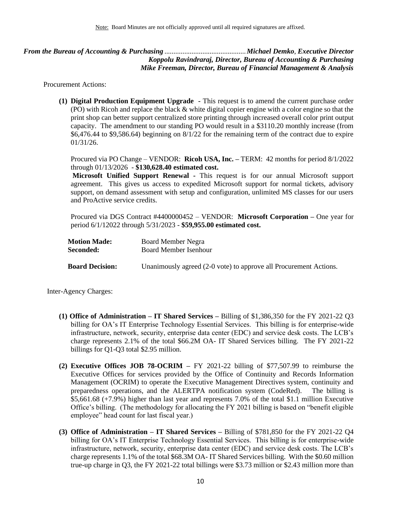*From the Bureau of Accounting & Purchasing* .............................................*Michael Demko*, *Executive Director Koppolu Ravindraraj, Director, Bureau of Accounting & Purchasing Mike Freeman, Director, Bureau of Financial Management & Analysis* 

Procurement Actions:

**(1) Digital Production Equipment Upgrade -** This request is to amend the current purchase order (PO) with Ricoh and replace the black & white digital copier engine with a color engine so that the print shop can better support centralized store printing through increased overall color print output capacity. The amendment to our standing PO would result in a \$3110.20 monthly increase (from \$6,476.44 to \$9,586.64) beginning on 8/1/22 for the remaining term of the contract due to expire 01/31/26.

Procured via PO Change – VENDOR: **Ricoh USA, Inc. –** TERM: 42 months for period 8/1/2022 through 01/13/2026 - **\$130,628.40 estimated cost.**

**Microsoft Unified Support Renewal -** This request is for our annual Microsoft support agreement. This gives us access to expedited Microsoft support for normal tickets, advisory support, on demand assessment with setup and configuration, unlimited MS classes for our users and ProActive service credits.

Procured via DGS Contract #4400000452 – VENDOR: **Microsoft Corporation –** One year for period 6/1/12022 through 5/31/2023 - **\$59,955.00 estimated cost.**

| <b>Motion Made:</b>    | <b>Board Member Negra</b>                                         |
|------------------------|-------------------------------------------------------------------|
| <b>Seconded:</b>       | Board Member Isenhour                                             |
| <b>Board Decision:</b> | Unanimously agreed (2-0 vote) to approve all Procurement Actions. |

Inter-Agency Charges:

- **(1) Office of Administration – IT Shared Services –** Billing of \$1,386,350 for the FY 2021-22 Q3 billing for OA's IT Enterprise Technology Essential Services. This billing is for enterprise-wide infrastructure, network, security, enterprise data center (EDC) and service desk costs. The LCB's charge represents 2.1% of the total \$66.2M OA- IT Shared Services billing. The FY 2021-22 billings for Q1-Q3 total \$2.95 million.
- **(2) Executive Offices JOB 78-OCRIM –** FY 2021-22 billing of \$77,507.99 to reimburse the Executive Offices for services provided by the Office of Continuity and Records Information Management (OCRIM) to operate the Executive Management Directives system, continuity and preparedness operations, and the ALERTPA notification system (CodeRed). The billing is \$5,661.68 (+7.9%) higher than last year and represents 7.0% of the total \$1.1 million Executive Office's billing. (The methodology for allocating the FY 2021 billing is based on "benefit eligible employee" head count for last fiscal year.)
- **(3) Office of Administration – IT Shared Services –** Billing of \$781,850 for the FY 2021-22 Q4 billing for OA's IT Enterprise Technology Essential Services. This billing is for enterprise-wide infrastructure, network, security, enterprise data center (EDC) and service desk costs. The LCB's charge represents 1.1% of the total \$68.3M OA- IT Shared Services billing. With the \$0.60 million true-up charge in Q3, the FY 2021-22 total billings were \$3.73 million or \$2.43 million more than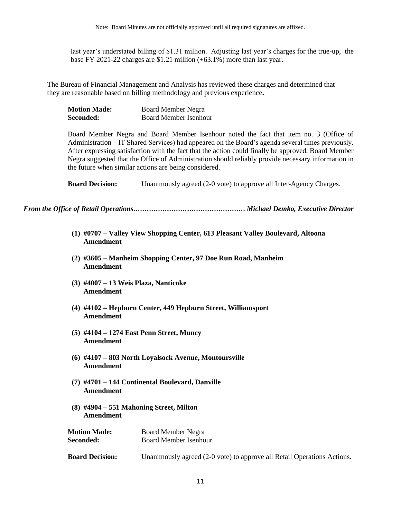last year's understated billing of \$1.31 million. Adjusting last year's charges for the true-up, the base FY 2021-22 charges are \$1.21 million (+63.1%) more than last year.

The Bureau of Financial Management and Analysis has reviewed these charges and determined that they are reasonable based on billing methodology and previous experience**.**

| <b>Motion Made:</b> | <b>Board Member Negra</b>    |
|---------------------|------------------------------|
| Seconded:           | <b>Board Member Isenhour</b> |

Board Member Negra and Board Member Isenhour noted the fact that item no. 3 (Office of Administration – IT Shared Services) had appeared on the Board's agenda several times previously. After expressing satisfaction with the fact that the action could finally be approved, Board Member Negra suggested that the Office of Administration should reliably provide necessary information in the future when similar actions are being considered.

**Board Decision:** Unanimously agreed (2-0 vote) to approve all Inter-Agency Charges.

<span id="page-10-0"></span>*From the Office of Retail Operations*..............................................................*Michael Demko, Executive Director*

- **(1) #0707 – Valley View Shopping Center, 613 Pleasant Valley Boulevard, Altoona Amendment**
- **(2) #3605 – Manheim Shopping Center, 97 Doe Run Road, Manheim Amendment**
- **(3) #4007 – 13 Weis Plaza, Nanticoke Amendment**
- **(4) #4102 – Hepburn Center, 449 Hepburn Street, Williamsport Amendment**
- **(5) #4104 – 1274 East Penn Street, Muncy Amendment**
- **(6) #4107 – 803 North Loyalsock Avenue, Montoursville Amendment**
- **(7) #4701 – 144 Continental Boulevard, Danville Amendment**
- **(8) #4904 – 551 Mahoning Street, Milton Amendment**

| <b>Motion Made:</b> | <b>Board Member Negra</b>    |
|---------------------|------------------------------|
| Seconded:           | <b>Board Member Isenhour</b> |

**Board Decision:** Unanimously agreed (2-0 vote) to approve all Retail Operations Actions.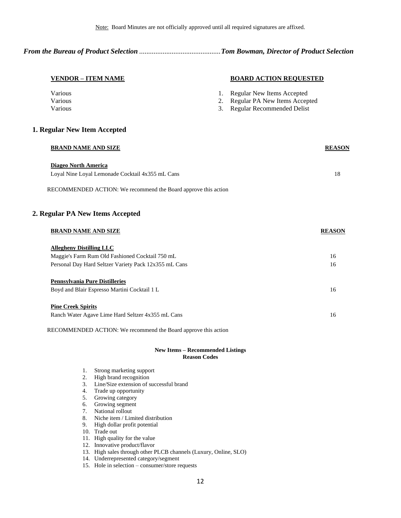*From the Bureau of Product Selection* .............................................*Tom Bowman, Director of Product Selection*

### **VENDOR – ITEM NAME BOARD ACTION REQUESTED**

| <b>Various</b> | 1. Regular New Items Accepted    |
|----------------|----------------------------------|
| <b>Various</b> | 2. Regular PA New Items Accepted |
| Various        | 3. Regular Recommended Delist    |

# **1. Regular New Item Accepted**

| <b>BRAND NAME AND SIZE</b>                       | <b>REASON</b> |
|--------------------------------------------------|---------------|
| Diageo North America                             |               |
| Loyal Nine Loyal Lemonade Cocktail 4x355 mL Cans | 18            |
|                                                  |               |

RECOMMENDED ACTION: We recommend the Board approve this action

# **2. Regular PA New Items Accepted**

| <b>BRAND NAME AND SIZE</b>                            | <b>REASON</b> |
|-------------------------------------------------------|---------------|
| <b>Allegheny Distilling LLC</b>                       |               |
| Maggie's Farm Rum Old Fashioned Cocktail 750 mL       | 16            |
| Personal Day Hard Seltzer Variety Pack 12x355 mL Cans | 16            |
| <b>Pennsylvania Pure Distilleries</b>                 |               |
| Boyd and Blair Espresso Martini Cocktail 1 L          | 16            |
| <b>Pine Creek Spirits</b>                             |               |
| Ranch Water Agave Lime Hard Seltzer 4x355 mL Cans     | 16            |

RECOMMENDED ACTION: We recommend the Board approve this action

#### **New Items – Recommended Listings Reason Codes**

- 1. Strong marketing support
- 2. High brand recognition
- 3. Line/Size extension of successful brand
- 4. Trade up opportunity
- 5. Growing category
- 6. Growing segment
- 7. National rollout
- 8. Niche item / Limited distribution
- 9. High dollar profit potential
- 10. Trade out
- 11. High quality for the value
- 12. Innovative product/flavor
- 13. High sales through other PLCB channels (Luxury, Online, SLO)
- 14. Underrepresented category/segment
- 15. Hole in selection consumer/store requests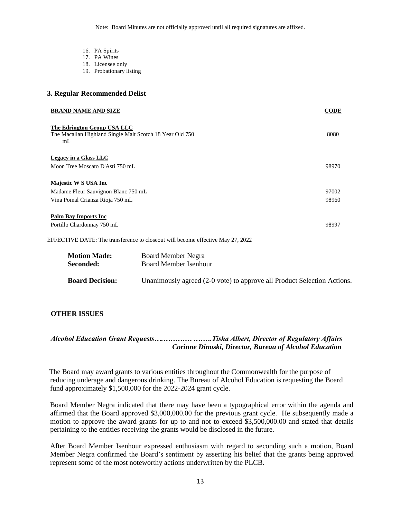Note: Board Minutes are not officially approved until all required signatures are affixed.

- 16. PA Spirits
- 17. PA Wines
- 18. Licensee only
- 19. Probationary listing

# **3. Regular Recommended Delist**

| <b>BRAND NAME AND SIZE</b>                                                                                | <b>CODE</b> |
|-----------------------------------------------------------------------------------------------------------|-------------|
| The Edrington Group USA LLC<br>The Macallan Highland Single Malt Scotch 18 Year Old 750<br>m <sub>L</sub> | 8080        |
| Legacy in a Glass LLC                                                                                     |             |
| Moon Tree Moscato D'Asti 750 mL                                                                           | 98970       |
| Majestic W S USA Inc                                                                                      |             |
| Madame Fleur Sauvignon Blanc 750 mL                                                                       | 97002       |
| Vina Pomal Crianza Rioja 750 mL                                                                           | 98960       |
| <b>Palm Bay Imports Inc.</b>                                                                              |             |
| Portillo Chardonnay 750 mL                                                                                | 98997       |
|                                                                                                           |             |

EFFECTIVE DATE: The transference to closeout will become effective May 27, 2022

| <b>Motion Made:</b>    | Board Member Negra                                                      |
|------------------------|-------------------------------------------------------------------------|
| Seconded:              | Board Member Isenhour                                                   |
| <b>Board Decision:</b> | Unanimously agreed (2-0 vote) to approve all Product Selection Actions. |

# <span id="page-12-0"></span>**OTHER ISSUES**

# *Alcohol Education Grant Requests….………… .…….Tisha Albert, Director of Regulatory Affairs Corinne Dinoski, Director, Bureau of Alcohol Education*

 The Board may award grants to various entities throughout the Commonwealth for the purpose of reducing underage and dangerous drinking. The Bureau of Alcohol Education is requesting the Board fund approximately \$1,500,000 for the 2022-2024 grant cycle.

Board Member Negra indicated that there may have been a typographical error within the agenda and affirmed that the Board approved \$3,000,000.00 for the previous grant cycle. He subsequently made a motion to approve the award grants for up to and not to exceed \$3,500,000.00 and stated that details pertaining to the entities receiving the grants would be disclosed in the future.

After Board Member Isenhour expressed enthusiasm with regard to seconding such a motion, Board Member Negra confirmed the Board's sentiment by asserting his belief that the grants being approved represent some of the most noteworthy actions underwritten by the PLCB.